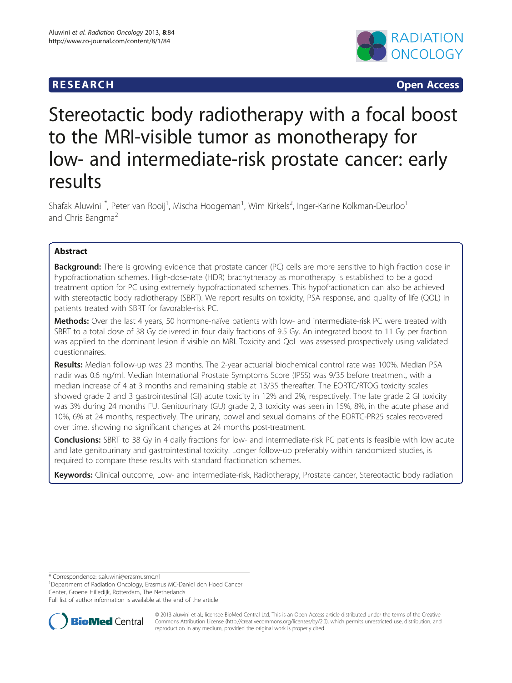# **RESEARCH CHING CONSTRUCTED ACCESS**



# Stereotactic body radiotherapy with a focal boost to the MRI-visible tumor as monotherapy for low- and intermediate-risk prostate cancer: early results

Shafak Aluwini<sup>1\*</sup>, Peter van Rooij<sup>1</sup>, Mischa Hoogeman<sup>1</sup>, Wim Kirkels<sup>2</sup>, Inger-Karine Kolkman-Deurloo<sup>1</sup> and Chris Bangma<sup>2</sup>

# Abstract

Background: There is growing evidence that prostate cancer (PC) cells are more sensitive to high fraction dose in hypofractionation schemes. High-dose-rate (HDR) brachytherapy as monotherapy is established to be a good treatment option for PC using extremely hypofractionated schemes. This hypofractionation can also be achieved with stereotactic body radiotherapy (SBRT). We report results on toxicity, PSA response, and quality of life (QOL) in patients treated with SBRT for favorable-risk PC.

Methods: Over the last 4 years, 50 hormone-naïve patients with low- and intermediate-risk PC were treated with SBRT to a total dose of 38 Gy delivered in four daily fractions of 9.5 Gy. An integrated boost to 11 Gy per fraction was applied to the dominant lesion if visible on MRI. Toxicity and QoL was assessed prospectively using validated questionnaires.

Results: Median follow-up was 23 months. The 2-year actuarial biochemical control rate was 100%. Median PSA nadir was 0.6 ng/ml. Median International Prostate Symptoms Score (IPSS) was 9/35 before treatment, with a median increase of 4 at 3 months and remaining stable at 13/35 thereafter. The EORTC/RTOG toxicity scales showed grade 2 and 3 gastrointestinal (GI) acute toxicity in 12% and 2%, respectively. The late grade 2 GI toxicity was 3% during 24 months FU. Genitourinary (GU) grade 2, 3 toxicity was seen in 15%, 8%, in the acute phase and 10%, 6% at 24 months, respectively. The urinary, bowel and sexual domains of the EORTC-PR25 scales recovered over time, showing no significant changes at 24 months post-treatment.

Conclusions: SBRT to 38 Gy in 4 daily fractions for low- and intermediate-risk PC patients is feasible with low acute and late genitourinary and gastrointestinal toxicity. Longer follow-up preferably within randomized studies, is required to compare these results with standard fractionation schemes.

Keywords: Clinical outcome, Low- and intermediate-risk, Radiotherapy, Prostate cancer, Stereotactic body radiation

\* Correspondence: [s.aluwini@erasmusmc.nl](mailto:s.aluwini@erasmusmc.nl) <sup>1</sup>

<sup>1</sup>Department of Radiation Oncology, Erasmus MC-Daniel den Hoed Cancer Center, Groene Hilledijk, Rotterdam, The Netherlands

Full list of author information is available at the end of the article



© 2013 aluwini et al.; licensee BioMed Central Ltd. This is an Open Access article distributed under the terms of the Creative Commons Attribution License [\(http://creativecommons.org/licenses/by/2.0\)](http://creativecommons.org/licenses/by/2.0), which permits unrestricted use, distribution, and reproduction in any medium, provided the original work is properly cited.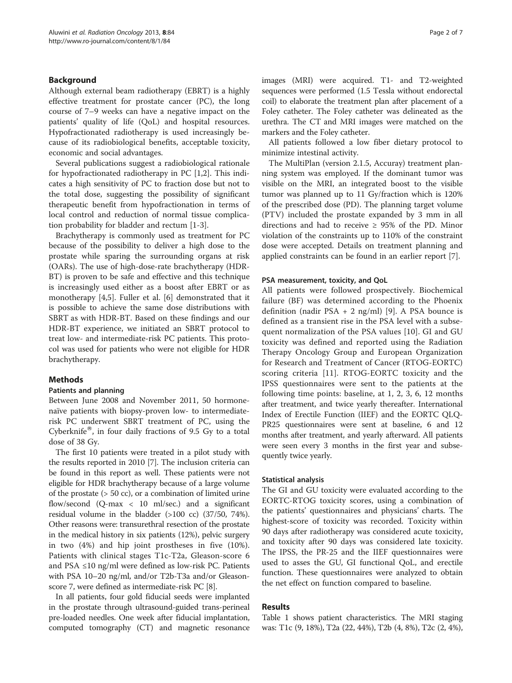# Background

Although external beam radiotherapy (EBRT) is a highly effective treatment for prostate cancer (PC), the long course of 7–9 weeks can have a negative impact on the patients' quality of life (QoL) and hospital resources. Hypofractionated radiotherapy is used increasingly because of its radiobiological benefits, acceptable toxicity, economic and social advantages.

Several publications suggest a radiobiological rationale for hypofractionated radiotherapy in PC [\[1,2](#page-6-0)]. This indicates a high sensitivity of PC to fraction dose but not to the total dose, suggesting the possibility of significant therapeutic benefit from hypofractionation in terms of local control and reduction of normal tissue complication probability for bladder and rectum [\[1](#page-6-0)-[3\]](#page-6-0).

Brachytherapy is commonly used as treatment for PC because of the possibility to deliver a high dose to the prostate while sparing the surrounding organs at risk (OARs). The use of high-dose-rate brachytherapy (HDR-BT) is proven to be safe and effective and this technique is increasingly used either as a boost after EBRT or as monotherapy [[4,5\]](#page-6-0). Fuller et al. [\[6](#page-6-0)] demonstrated that it is possible to achieve the same dose distributions with SBRT as with HDR-BT. Based on these findings and our HDR-BT experience, we initiated an SBRT protocol to treat low- and intermediate-risk PC patients. This protocol was used for patients who were not eligible for HDR brachytherapy.

# Methods

# Patients and planning

Between June 2008 and November 2011, 50 hormonenaïve patients with biopsy-proven low- to intermediaterisk PC underwent SBRT treatment of PC, using the Cyberknife $^{\circledR}$ , in four daily fractions of 9.5 Gy to a total dose of 38 Gy.

The first 10 patients were treated in a pilot study with the results reported in 2010 [[7](#page-6-0)]. The inclusion criteria can be found in this report as well. These patients were not eligible for HDR brachytherapy because of a large volume of the prostate (> 50 cc), or a combination of limited urine flow/second  $(Q$ -max  $\langle$  10 ml/sec.) and a significant residual volume in the bladder (>100 cc) (37/50, 74%). Other reasons were: transurethral resection of the prostate in the medical history in six patients (12%), pelvic surgery in two (4%) and hip joint prostheses in five (10%). Patients with clinical stages T1c-T2a, Gleason-score 6 and PSA ≤10 ng/ml were defined as low-risk PC. Patients with PSA 10–20 ng/ml, and/or T2b-T3a and/or Gleasonscore 7, were defined as intermediate-risk PC [[8\]](#page-6-0).

In all patients, four gold fiducial seeds were implanted in the prostate through ultrasound-guided trans-perineal pre-loaded needles. One week after fiducial implantation, computed tomography (CT) and magnetic resonance images (MRI) were acquired. T1- and T2-weighted sequences were performed (1.5 Tessla without endorectal coil) to elaborate the treatment plan after placement of a Foley catheter. The Foley catheter was delineated as the urethra. The CT and MRI images were matched on the markers and the Foley catheter.

All patients followed a low fiber dietary protocol to minimize intestinal activity.

The MultiPlan (version 2.1.5, Accuray) treatment planning system was employed. If the dominant tumor was visible on the MRI, an integrated boost to the visible tumor was planned up to 11 Gy/fraction which is 120% of the prescribed dose (PD). The planning target volume (PTV) included the prostate expanded by 3 mm in all directions and had to receive  $\geq$  95% of the PD. Minor violation of the constraints up to 110% of the constraint dose were accepted. Details on treatment planning and applied constraints can be found in an earlier report [\[7](#page-6-0)].

# PSA measurement, toxicity, and QoL

All patients were followed prospectively. Biochemical failure (BF) was determined according to the Phoenix definition (nadir PSA  $+ 2$  ng/ml) [[9\]](#page-6-0). A PSA bounce is defined as a transient rise in the PSA level with a subsequent normalization of the PSA values [\[10](#page-6-0)]. GI and GU toxicity was defined and reported using the Radiation Therapy Oncology Group and European Organization for Research and Treatment of Cancer (RTOG-EORTC) scoring criteria [[11\]](#page-6-0). RTOG-EORTC toxicity and the IPSS questionnaires were sent to the patients at the following time points: baseline, at 1, 2, 3, 6, 12 months after treatment, and twice yearly thereafter. International Index of Erectile Function (IIEF) and the EORTC QLQ-PR25 questionnaires were sent at baseline, 6 and 12 months after treatment, and yearly afterward. All patients were seen every 3 months in the first year and subsequently twice yearly.

#### Statistical analysis

The GI and GU toxicity were evaluated according to the EORTC-RTOG toxicity scores, using a combination of the patients' questionnaires and physicians' charts. The highest-score of toxicity was recorded. Toxicity within 90 days after radiotherapy was considered acute toxicity, and toxicity after 90 days was considered late toxicity. The IPSS, the PR-25 and the IIEF questionnaires were used to asses the GU, GI functional QoL, and erectile function. These questionnaires were analyzed to obtain the net effect on function compared to baseline.

# Results

Table [1](#page-2-0) shows patient characteristics. The MRI staging was: T1c (9, 18%), T2a (22, 44%), T2b (4, 8%), T2c (2, 4%),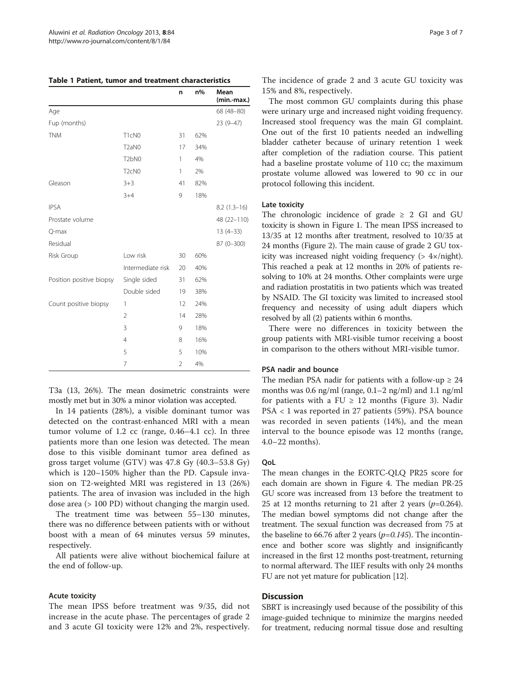<span id="page-2-0"></span>

| Table 1 Patient, tumor and treatment characteristics |  |  |  |
|------------------------------------------------------|--|--|--|
|------------------------------------------------------|--|--|--|

|                          |                                | n              | $n\%$ | Mean<br>(min.-max.) |
|--------------------------|--------------------------------|----------------|-------|---------------------|
| Age                      |                                |                |       | 68 (48-80)          |
| Fup (months)             |                                |                |       | $23(9-47)$          |
| <b>TNM</b>               | T1cN0                          | 31             | 62%   |                     |
|                          | T <sub>2a</sub> N <sub>0</sub> | 17             | 34%   |                     |
|                          | T <sub>2</sub> bN <sub>0</sub> | 1              | 4%    |                     |
|                          | T <sub>2</sub> cN <sub>0</sub> | 1              | 2%    |                     |
| Gleason                  | $3 + 3$                        | 41             | 82%   |                     |
|                          | $3 + 4$                        | 9              | 18%   |                     |
| <b>IPSA</b>              |                                |                |       | $8.2(1.3-16)$       |
| Prostate volume          |                                |                |       | 48 (22-110)         |
| Q-max                    |                                |                |       | $13(4-33)$          |
| Residual                 |                                |                |       | $87(0-300)$         |
| Risk Group               | Low risk                       | 30             | 60%   |                     |
|                          | Intermediate risk              | 20             | 40%   |                     |
| Position positive biopsy | Single sided                   | 31             | 62%   |                     |
|                          | Double sided                   | 19             | 38%   |                     |
| Count positive biopsy    | 1                              | 12             | 24%   |                     |
|                          | 2                              | 14             | 28%   |                     |
|                          | 3                              | 9              | 18%   |                     |
|                          | 4                              | 8              | 16%   |                     |
|                          | 5                              | 5              | 10%   |                     |
|                          | $\overline{7}$                 | $\overline{2}$ | 4%    |                     |

T3a (13, 26%). The mean dosimetric constraints were mostly met but in 30% a minor violation was accepted.

In 14 patients (28%), a visible dominant tumor was detected on the contrast-enhanced MRI with a mean tumor volume of 1.2 cc (range, 0.46–4.1 cc). In three patients more than one lesion was detected. The mean dose to this visible dominant tumor area defined as gross target volume (GTV) was 47.8 Gy (40.3–53.8 Gy) which is 120–150% higher than the PD. Capsule invasion on T2-weighted MRI was registered in 13 (26%) patients. The area of invasion was included in the high dose area (> 100 PD) without changing the margin used.

The treatment time was between 55–130 minutes, there was no difference between patients with or without boost with a mean of 64 minutes versus 59 minutes, respectively.

All patients were alive without biochemical failure at the end of follow-up.

## Acute toxicity

The mean IPSS before treatment was 9/35, did not increase in the acute phase. The percentages of grade 2 and 3 acute GI toxicity were 12% and 2%, respectively. The incidence of grade 2 and 3 acute GU toxicity was 15% and 8%, respectively.

The most common GU complaints during this phase were urinary urge and increased night voiding frequency. Increased stool frequency was the main GI complaint. One out of the first 10 patients needed an indwelling bladder catheter because of urinary retention 1 week after completion of the radiation course. This patient had a baseline prostate volume of 110 cc; the maximum prostate volume allowed was lowered to 90 cc in our protocol following this incident.

# Late toxicity

The chronologic incidence of grade  $\geq 2$  GI and GU toxicity is shown in Figure [1](#page-3-0). The mean IPSS increased to 13/35 at 12 months after treatment, resolved to 10/35 at 24 months (Figure [2\)](#page-3-0). The main cause of grade 2 GU toxicity was increased night voiding frequency (> 4×/night). This reached a peak at 12 months in 20% of patients resolving to 10% at 24 months. Other complaints were urge and radiation prostatitis in two patients which was treated by NSAID. The GI toxicity was limited to increased stool frequency and necessity of using adult diapers which resolved by all (2) patients within 6 months.

There were no differences in toxicity between the group patients with MRI-visible tumor receiving a boost in comparison to the others without MRI-visible tumor.

# PSA nadir and bounce

The median PSA nadir for patients with a follow-up  $\geq 24$ months was 0.6 ng/ml (range, 0.1–2 ng/ml) and 1.1 ng/ml for patients with a FU  $\geq$  12 months (Figure [3](#page-3-0)). Nadir PSA < 1 was reported in 27 patients (59%). PSA bounce was recorded in seven patients (14%), and the mean interval to the bounce episode was 12 months (range, 4.0–22 months).

#### **OoL**

The mean changes in the EORTC-QLQ PR25 score for each domain are shown in Figure [4](#page-4-0). The median PR-25 GU score was increased from 13 before the treatment to 25 at 12 months returning to 21 after 2 years  $(p=0.264)$ . The median bowel symptoms did not change after the treatment. The sexual function was decreased from 75 at the baseline to 66.76 after 2 years ( $p=0.145$ ). The incontinence and bother score was slightly and insignificantly increased in the first 12 months post-treatment, returning to normal afterward. The IIEF results with only 24 months FU are not yet mature for publication [\[12\]](#page-6-0).

# **Discussion**

SBRT is increasingly used because of the possibility of this image-guided technique to minimize the margins needed for treatment, reducing normal tissue dose and resulting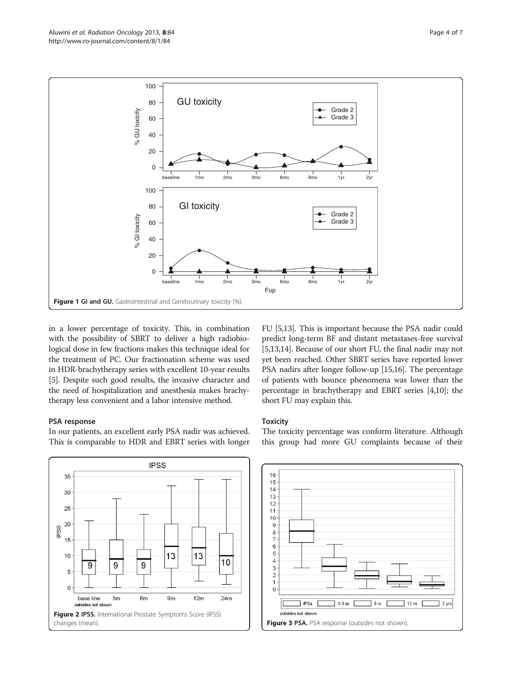<span id="page-3-0"></span>

in a lower percentage of toxicity. This, in combination with the possibility of SBRT to deliver a high radiobiological dose in few fractions makes this technique ideal for the treatment of PC. Our fractionation scheme was used in HDR-brachytherapy series with excellent 10-year results [[5\]](#page-6-0). Despite such good results, the invasive character and the need of hospitalization and anesthesia makes brachytherapy less convenient and a labor intensive method.

# PSA response

In our patients, an excellent early PSA nadir was achieved. This is comparable to HDR and EBRT series with longer

**IPSS**  $35$ 30  $25$ 20 PSS 15  $10$ 13  $13$  $10$ 9 9 C 5 Ċ base line  $3<sub>m</sub>$ 6<sub>m</sub>  $9m$  $12m$  $24m$ outsides not show Figure 2 IPSS. International Prostate Symptoms Score (IPSS) changes (mean). The changes (mean). The changes (mean). Figure 3 PSA. PSA response (outsides not shown).

FU [\[5,13\]](#page-6-0). This is important because the PSA nadir could predict long-term BF and distant metastases-free survival [[5,13,14\]](#page-6-0). Because of our short FU, the final nadir may not yet been reached. Other SBRT series have reported lower PSA nadirs after longer follow-up [[15,16](#page-6-0)]. The percentage of patients with bounce phenomena was lower than the percentage in brachytherapy and EBRT series [\[4,10\]](#page-6-0); the short FU may explain this.

# **Toxicity**

The toxicity percentage was conform literature. Although this group had more GU complaints because of their

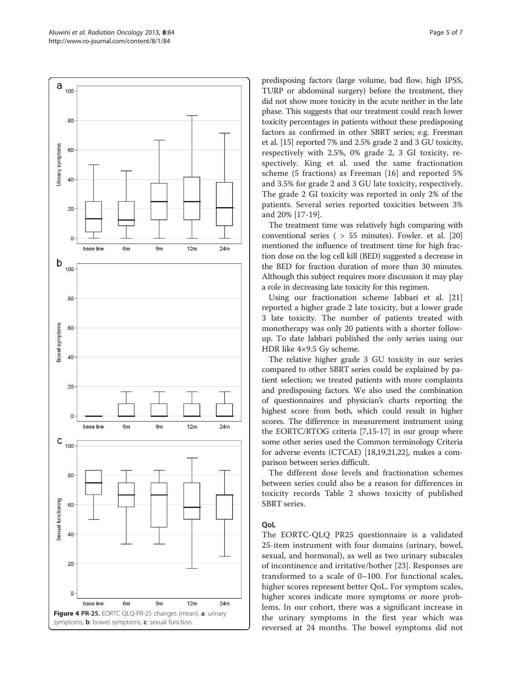<span id="page-4-0"></span>

predisposing factors (large volume, bad flow, high IPSS, TURP or abdominal surgery) before the treatment, they did not show more toxicity in the acute neither in the late phase. This suggests that our treatment could reach lower toxicity percentages in patients without these predisposing factors as confirmed in other SBRT series; e.g. Freeman et al. [\[15\]](#page-6-0) reported 7% and 2.5% grade 2 and 3 GU toxicity, respectively with 2.5%, 0% grade 2, 3 GI toxicity, respectively. King et al. used the same fractionation scheme (5 fractions) as Freeman [[16\]](#page-6-0) and reported 5% and 3.5% for grade 2 and 3 GU late toxicity, respectively. The grade 2 GI toxicity was reported in only 2% of the patients. Several series reported toxicities between 3% and 20% [[17-19](#page-6-0)].

The treatment time was relatively high comparing with conventional series ( > 55 minutes). Fowler. et al. [[20](#page-6-0)] mentioned the influence of treatment time for high fraction dose on the log cell kill (BED) suggested a decrease in the BED for fraction duration of more than 30 minutes. Although this subject requires more discussion it may play a role in decreasing late toxicity for this regimen.

Using our fractionation scheme Jabbari et al. [[21](#page-6-0)] reported a higher grade 2 late toxicity, but a lower grade 3 late toxicity. The number of patients treated with monotherapy was only 20 patients with a shorter followup. To date Jabbari published the only series using our HDR like 4×9.5 Gy scheme.

The relative higher grade 3 GU toxicity in our series compared to other SBRT series could be explained by patient selection; we treated patients with more complaints and predisposing factors. We also used the combination of questionnaires and physician's charts reporting the highest score from both, which could result in higher scores. The difference in measurement instrument using the EORTC/RTOG criteria [[7,15](#page-6-0)-[17](#page-6-0)] in our group where some other series used the Common terminology Criteria for adverse events (CTCAE) [\[18,19](#page-6-0),[21,22\]](#page-6-0), makes a comparison between series difficult.

The different dose levels and fractionation schemes between series could also be a reason for differences in toxicity records Table [2](#page-5-0) shows toxicity of published SBRT series.

# QoL

The EORTC-QLQ PR25 questionnaire is a validated 25-item instrument with four domains (urinary, bowel, sexual, and hormonal), as well as two urinary subscales of incontinence and irritative/bother [\[23](#page-6-0)]. Responses are transformed to a scale of 0–100. For functional scales, higher scores represent better QoL. For symptom scales, higher scores indicate more symptoms or more problems. In our cohort, there was a significant increase in the urinary symptoms in the first year which was reversed at 24 months. The bowel symptoms did not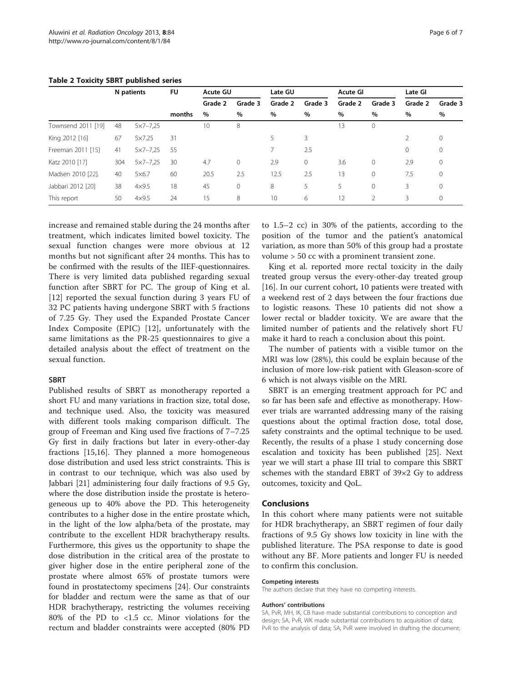|                    |     | N patients          | <b>FU</b> | <b>Acute GU</b> |              | Late GU |         | Acute GI |              | Late GI |              |
|--------------------|-----|---------------------|-----------|-----------------|--------------|---------|---------|----------|--------------|---------|--------------|
|                    |     |                     |           | Grade 2         | Grade 3      | Grade 2 | Grade 3 | Grade 2  | Grade 3      | Grade 2 | Grade 3      |
|                    |     |                     | months    | $\%$            | %            | %       | $\%$    | $\%$     | $\%$         | %       | $\%$         |
| Townsend 2011 [19] | 48  | $5x7 - 7,25$        |           | 10              | 8            |         |         | 13       | $\mathbf 0$  |         |              |
| King 2012 [16]     | 67  | 5×7.25              | 31        |                 |              | 5       | 3       |          |              | 2       | $\circ$      |
| Freeman 2011 [15]  | 41  | $5x7 - 7,25$        | 55        |                 |              |         | 2.5     |          |              | 0       | $\circ$      |
| Katz 2010 [17]     | 304 | $5 \times 7 - 7,25$ | 30        | 4.7             | $\mathbf{0}$ | 2.9     | $\circ$ | 3.6      | $\mathbf{0}$ | 2.9     | $\circ$      |
| Madsen 2010 [22].  | 40  | $5\times6.7$        | 60        | 20.5            | 2.5          | 12.5    | 2.5     | 13       | $\mathbf 0$  | 7.5     | $\mathbf{0}$ |
| Jabbari 2012 [20]  | 38  | $4\times9.5$        | 18        | 45              | $\mathbf{0}$ | 8       | 5       | 5        | 0            | 3       | $\mathbf{0}$ |
| This report        | 50  | $4\times9.5$        | 24        | 15              | 8            | 10      | 6       | 12       | 2            | 3       | $\circ$      |

#### <span id="page-5-0"></span>Table 2 Toxicity SBRT published series

increase and remained stable during the 24 months after treatment, which indicates limited bowel toxicity. The sexual function changes were more obvious at 12 months but not significant after 24 months. This has to be confirmed with the results of the IIEF-questionnaires. There is very limited data published regarding sexual function after SBRT for PC. The group of King et al. [[12\]](#page-6-0) reported the sexual function during 3 years FU of 32 PC patients having undergone SBRT with 5 fractions of 7.25 Gy. They used the Expanded Prostate Cancer Index Composite (EPIC) [[12\]](#page-6-0), unfortunately with the same limitations as the PR-25 questionnaires to give a detailed analysis about the effect of treatment on the sexual function.

## SBRT

Published results of SBRT as monotherapy reported a short FU and many variations in fraction size, total dose, and technique used. Also, the toxicity was measured with different tools making comparison difficult. The group of Freeman and King used five fractions of 7–7.25 Gy first in daily fractions but later in every-other-day fractions [[15](#page-6-0),[16](#page-6-0)]. They planned a more homogeneous dose distribution and used less strict constraints. This is in contrast to our technique, which was also used by Jabbari [[21](#page-6-0)] administering four daily fractions of 9.5 Gy, where the dose distribution inside the prostate is heterogeneous up to 40% above the PD. This heterogeneity contributes to a higher dose in the entire prostate which, in the light of the low alpha/beta of the prostate, may contribute to the excellent HDR brachytherapy results. Furthermore, this gives us the opportunity to shape the dose distribution in the critical area of the prostate to giver higher dose in the entire peripheral zone of the prostate where almost 65% of prostate tumors were found in prostatectomy specimens [[24](#page-6-0)]. Our constraints for bladder and rectum were the same as that of our HDR brachytherapy, restricting the volumes receiving 80% of the PD to <1.5 cc. Minor violations for the rectum and bladder constraints were accepted (80% PD

to 1.5–2 cc) in 30% of the patients, according to the position of the tumor and the patient's anatomical variation, as more than 50% of this group had a prostate volume > 50 cc with a prominent transient zone.

King et al. reported more rectal toxicity in the daily treated group versus the every-other-day treated group [[16\]](#page-6-0). In our current cohort, 10 patients were treated with a weekend rest of 2 days between the four fractions due to logistic reasons. These 10 patients did not show a lower rectal or bladder toxicity. We are aware that the limited number of patients and the relatively short FU make it hard to reach a conclusion about this point.

The number of patients with a visible tumor on the MRI was low (28%), this could be explain because of the inclusion of more low-risk patient with Gleason-score of 6 which is not always visible on the MRI.

SBRT is an emerging treatment approach for PC and so far has been safe and effective as monotherapy. However trials are warranted addressing many of the raising questions about the optimal fraction dose, total dose, safety constraints and the optimal technique to be used. Recently, the results of a phase 1 study concerning dose escalation and toxicity has been published [\[25\]](#page-6-0). Next year we will start a phase III trial to compare this SBRT schemes with the standard EBRT of 39×2 Gy to address outcomes, toxicity and QoL.

### Conclusions

In this cohort where many patients were not suitable for HDR brachytherapy, an SBRT regimen of four daily fractions of 9.5 Gy shows low toxicity in line with the published literature. The PSA response to date is good without any BF. More patients and longer FU is needed to confirm this conclusion.

#### Competing interests

The authors declare that they have no competing interests.

#### Authors' contributions

SA, PvR, MH, IK, CB have made substantial contributions to conception and design; SA, PvR, WK made substantial contributions to acquisition of data; PvR to the analysis of data; SA, PvR were involved in drafting the document;